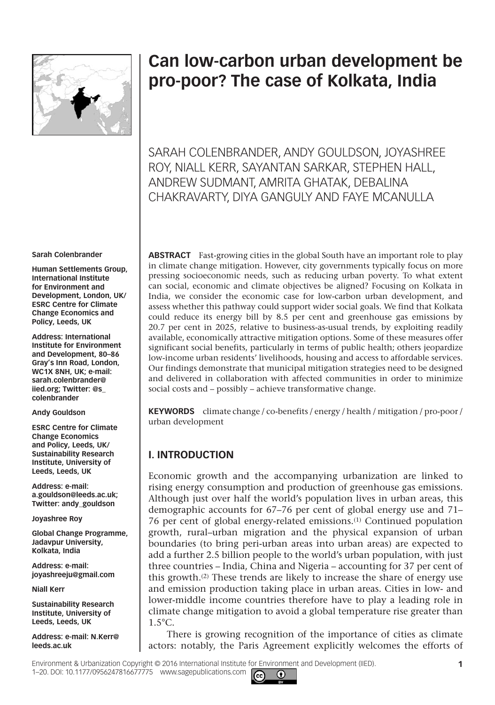

# **Can low-carbon urban development be pro-poor? The case of Kolkata, India**

Sarah Colenbrander, Andy Gouldson, Joyashree Roy, Niall Kerr, Sayantan Sarkar, Stephen Hall, Andrew Sudmant, Amrita Ghatak, Debalina Chakravarty, Diya Ganguly and Faye Mcanulla

**Sarah Colenbrander**

**Human Settlements Group, International Institute for Environment and Development, London, UK/ ESRC Centre for Climate Change Economics and Policy, Leeds, UK**

**Address: International Institute for Environment and Development, 80–86 Gray's Inn Road, London, WC1X 8NH, UK; e-mail: sarah.colenbrander@ iied.org; Twitter: @s\_ colenbrander**

#### **Andy Gouldson**

**ESRC Centre for Climate Change Economics and Policy, Leeds, UK/ Sustainability Research Institute, University of Leeds, Leeds, UK**

**Address: e-mail: a.gouldson@leeds.ac.uk; Twitter: andy\_gouldson**

**Joyashree Roy**

**Global Change Programme, Jadavpur University, Kolkata, India**

**Address: e-mail: joyashreeju@gmail.com**

**Niall Kerr**

**Sustainability Research Institute, University of Leeds, Leeds, UK**

**Address: e-mail: N.Kerr@ leeds.ac.uk**

**Abstract** Fast-growing cities in the global South have an important role to play in climate change mitigation. However, city governments typically focus on more pressing socioeconomic needs, such as reducing urban poverty. To what extent can social, economic and climate objectives be aligned? Focusing on Kolkata in India, we consider the economic case for low-carbon urban development, and assess whether this pathway could support wider social goals. We find that Kolkata could reduce its energy bill by 8.5 per cent and greenhouse gas emissions by 20.7 per cent in 2025, relative to business-as-usual trends, by exploiting readily available, economically attractive mitigation options. Some of these measures offer significant social benefits, particularly in terms of public health; others jeopardize low-income urban residents' livelihoods, housing and access to affordable services. Our findings demonstrate that municipal mitigation strategies need to be designed and delivered in collaboration with affected communities in order to minimize social costs and – possibly – achieve transformative change.

**Keywords** climate change / co-benefits / energy / health / mitigation / pro-poor / urban development

# **I. Introduction**

Economic growth and the accompanying urbanization are linked to rising energy consumption and production of greenhouse gas emissions. Although just over half the world's population lives in urban areas, this demographic accounts for 67–76 per cent of global energy use and 71– 76 per cent of global energy-related emissions.(1) Continued population growth, rural–urban migration and the physical expansion of urban boundaries (to bring peri-urban areas into urban areas) are expected to add a further 2.5 billion people to the world's urban population, with just three countries – India, China and Nigeria – accounting for 37 per cent of this growth.(2) These trends are likely to increase the share of energy use and emission production taking place in urban areas. Cities in low- and lower-middle income countries therefore have to play a leading role in climate change mitigation to avoid a global temperature rise greater than 1.5°C.

There is growing recognition of the importance of cities as climate actors: notably, the Paris Agreement explicitly welcomes the efforts of

 $\odot$ 

ſcc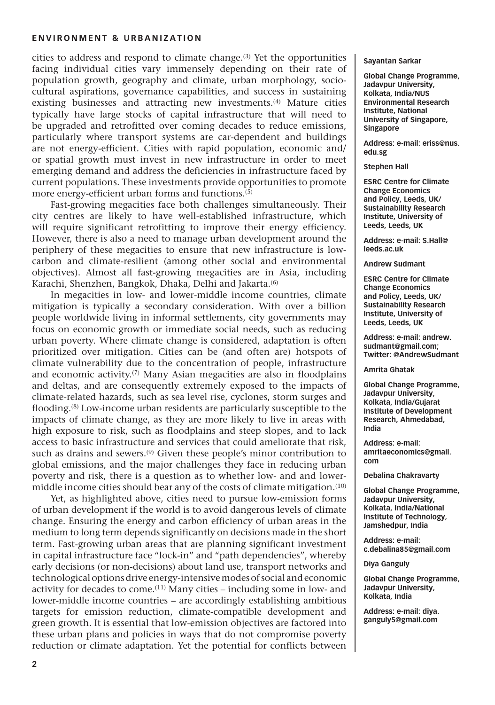cities to address and respond to climate change.(3) Yet the opportunities facing individual cities vary immensely depending on their rate of population growth, geography and climate, urban morphology, sociocultural aspirations, governance capabilities, and success in sustaining existing businesses and attracting new investments.<sup>(4)</sup> Mature cities typically have large stocks of capital infrastructure that will need to be upgraded and retrofitted over coming decades to reduce emissions, particularly where transport systems are car-dependent and buildings are not energy-efficient. Cities with rapid population, economic and/ or spatial growth must invest in new infrastructure in order to meet emerging demand and address the deficiencies in infrastructure faced by current populations. These investments provide opportunities to promote more energy-efficient urban forms and functions.(5)

Fast-growing megacities face both challenges simultaneously. Their city centres are likely to have well-established infrastructure, which will require significant retrofitting to improve their energy efficiency. However, there is also a need to manage urban development around the periphery of these megacities to ensure that new infrastructure is lowcarbon and climate-resilient (among other social and environmental objectives). Almost all fast-growing megacities are in Asia, including Karachi, Shenzhen, Bangkok, Dhaka, Delhi and Jakarta.(6)

In megacities in low- and lower-middle income countries, climate mitigation is typically a secondary consideration. With over a billion people worldwide living in informal settlements, city governments may focus on economic growth or immediate social needs, such as reducing urban poverty. Where climate change is considered, adaptation is often prioritized over mitigation. Cities can be (and often are) hotspots of climate vulnerability due to the concentration of people, infrastructure and economic activity.<sup> $(7)$ </sup> Many Asian megacities are also in floodplains and deltas, and are consequently extremely exposed to the impacts of climate-related hazards, such as sea level rise, cyclones, storm surges and flooding.(8) Low-income urban residents are particularly susceptible to the impacts of climate change, as they are more likely to live in areas with high exposure to risk, such as floodplains and steep slopes, and to lack access to basic infrastructure and services that could ameliorate that risk, such as drains and sewers.<sup>(9)</sup> Given these people's minor contribution to global emissions, and the major challenges they face in reducing urban poverty and risk, there is a question as to whether low- and and lowermiddle income cities should bear any of the costs of climate mitigation.(10)

Yet, as highlighted above, cities need to pursue low-emission forms of urban development if the world is to avoid dangerous levels of climate change. Ensuring the energy and carbon efficiency of urban areas in the medium to long term depends significantly on decisions made in the short term. Fast-growing urban areas that are planning significant investment in capital infrastructure face "lock-in" and "path dependencies", whereby early decisions (or non-decisions) about land use, transport networks and technological options drive energy-intensive modes of social and economic activity for decades to come.(11) Many cities – including some in low- and lower-middle income countries – are accordingly establishing ambitious targets for emission reduction, climate-compatible development and green growth. It is essential that low-emission objectives are factored into these urban plans and policies in ways that do not compromise poverty reduction or climate adaptation. Yet the potential for conflicts between

#### **Sayantan Sarkar**

**Global Change Programme, Jadavpur University, Kolkata, India/NUS Environmental Research Institute, National University of Singapore, Singapore**

**Address: e-mail: eriss@nus. edu.sg**

#### **Stephen Hall**

**ESRC Centre for Climate Change Economics and Policy, Leeds, UK/ Sustainability Research Institute, University of Leeds, Leeds, UK**

**Address: e-mail: S.Hall@ leeds.ac.uk**

**Andrew Sudmant**

**ESRC Centre for Climate Change Economics and Policy, Leeds, UK/ Sustainability Research Institute, University of Leeds, Leeds, UK**

**Address: e-mail: andrew. sudmant@gmail.com; Twitter: @AndrewSudmant**

**Amrita Ghatak**

**Global Change Programme, Jadavpur University, Kolkata, India/Gujarat Institute of Development Research, Ahmedabad, India**

**Address: e-mail: amritaeconomics@gmail. com**

**Debalina Chakravarty**

**Global Change Programme, Jadavpur University, Kolkata, India/National Institute of Technology, Jamshedpur, India**

**Address: e-mail: c.debalina85@gmail.com**

**Diya Ganguly**

**Global Change Programme, Jadavpur University, Kolkata, India**

**Address: e-mail: diya. ganguly5@gmail.com**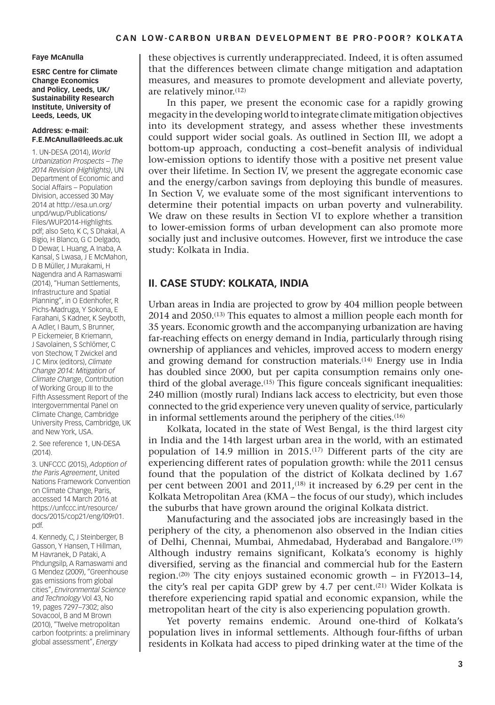#### **Faye McAnulla**

**ESRC Centre for Climate Change Economics and Policy, Leeds, UK/ Sustainability Research Institute, University of Leeds, Leeds, UK**

#### **Address: e-mail: F.E.McAnulla@leeds.ac.uk**

1. UN-DESA (2014), *World Urbanization Prospects – The 2014 Revision (Highlights)*, UN Department of Economic and Social Affairs – Population Division, accessed 30 May 2014 at http://esa.un.org/ unpd/wup/Publications/ Files/WUP2014-Highlights. pdf; also Seto, K C, S Dhakal, A Bigio, H Blanco, G C Delgado, D Dewar, L Huang, A Inaba, A Kansal, S Lwasa, J E McMahon, D B Müller, J Murakami, H Nagendra and A Ramaswami (2014), "Human Settlements, Infrastructure and Spatial Planning", in O Edenhofer, R Pichs-Madruga, Y Sokona, E Farahani, S Kadner, K Seyboth, A Adler, I Baum, S Brunner, P Eickemeier, B Kriemann, J Savolainen, S Schlömer, C von Stechow, T Zwickel and J C Minx (editors), *Climate Change 2014: Mitigation of Climate Change*, Contribution of Working Group III to the Fifth Assessment Report of the Intergovernmental Panel on Climate Change, Cambridge University Press, Cambridge, UK and New York, USA.

2. See reference 1, UN-DESA (2014).

3. UNFCCC (2015), *Adoption of the Paris Agreement*, United Nations Framework Convention on Climate Change, Paris, accessed 14 March 2016 at https://unfccc.int/resource/ docs/2015/cop21/eng/l09r01. pdf.

4. Kennedy, C, J Steinberger, B Gasson, Y Hansen, T Hillman, M Havranek, D Pataki, A Phdungsilp, A Ramaswami and G Mendez (2009), "Greenhouse gas emissions from global cities", *Environmental Science and Technology* Vol 43, No 19, pages 7297–7302; also Sovacool, B and M Brown (2010), "Twelve metropolitan carbon footprints: a preliminary global assessment", *Energy* 

these objectives is currently underappreciated. Indeed, it is often assumed that the differences between climate change mitigation and adaptation measures, and measures to promote development and alleviate poverty, are relatively minor.(12)

In this paper, we present the economic case for a rapidly growing megacity in the developing world to integrate climate mitigation objectives into its development strategy, and assess whether these investments could support wider social goals. As outlined in Section III, we adopt a bottom-up approach, conducting a cost–benefit analysis of individual low-emission options to identify those with a positive net present value over their lifetime. In Section IV, we present the aggregate economic case and the energy/carbon savings from deploying this bundle of measures. In Section V, we evaluate some of the most significant interventions to determine their potential impacts on urban poverty and vulnerability. We draw on these results in Section VI to explore whether a transition to lower-emission forms of urban development can also promote more socially just and inclusive outcomes. However, first we introduce the case study: Kolkata in India.

### **II. Case Study: Kolkata, India**

Urban areas in India are projected to grow by 404 million people between 2014 and 2050.(13) This equates to almost a million people each month for 35 years. Economic growth and the accompanying urbanization are having far-reaching effects on energy demand in India, particularly through rising ownership of appliances and vehicles, improved access to modern energy and growing demand for construction materials.(14) Energy use in India has doubled since 2000, but per capita consumption remains only onethird of the global average.<sup>(15)</sup> This figure conceals significant inequalities: 240 million (mostly rural) Indians lack access to electricity, but even those connected to the grid experience very uneven quality of service, particularly in informal settlements around the periphery of the cities.<sup>(16)</sup>

Kolkata, located in the state of West Bengal, is the third largest city in India and the 14th largest urban area in the world, with an estimated population of 14.9 million in 2015.(17) Different parts of the city are experiencing different rates of population growth: while the 2011 census found that the population of the district of Kolkata declined by 1.67 per cent between 2001 and 2011,(18) it increased by 6.29 per cent in the Kolkata Metropolitan Area (KMA – the focus of our study), which includes the suburbs that have grown around the original Kolkata district.

Manufacturing and the associated jobs are increasingly based in the periphery of the city, a phenomenon also observed in the Indian cities of Delhi, Chennai, Mumbai, Ahmedabad, Hyderabad and Bangalore.(19) Although industry remains significant, Kolkata's economy is highly diversified, serving as the financial and commercial hub for the Eastern region.<sup>(20)</sup> The city enjoys sustained economic growth – in FY2013–14, the city's real per capita GDP grew by 4.7 per cent.<sup>(21)</sup> Wider Kolkata is therefore experiencing rapid spatial and economic expansion, while the metropolitan heart of the city is also experiencing population growth.

Yet poverty remains endemic. Around one-third of Kolkata's population lives in informal settlements. Although four-fifths of urban residents in Kolkata had access to piped drinking water at the time of the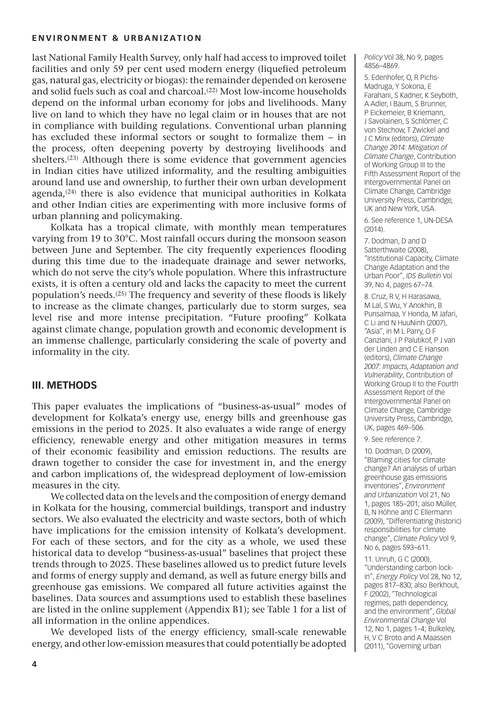last National Family Health Survey, only half had access to improved toilet facilities and only 59 per cent used modern energy (liquefied petroleum gas, natural gas, electricity or biogas): the remainder depended on kerosene and solid fuels such as coal and charcoal.<sup>(22)</sup> Most low-income households depend on the informal urban economy for jobs and livelihoods. Many live on land to which they have no legal claim or in houses that are not in compliance with building regulations. Conventional urban planning has excluded these informal sectors or sought to formalize them – in the process, often deepening poverty by destroying livelihoods and shelters.(23) Although there is some evidence that government agencies in Indian cities have utilized informality, and the resulting ambiguities around land use and ownership, to further their own urban development agenda,<sup>(24)</sup> there is also evidence that municipal authorities in Kolkata and other Indian cities are experimenting with more inclusive forms of urban planning and policymaking.

Kolkata has a tropical climate, with monthly mean temperatures varying from 19 to 30°C. Most rainfall occurs during the monsoon season between June and September. The city frequently experiences flooding during this time due to the inadequate drainage and sewer networks, which do not serve the city's whole population. Where this infrastructure exists, it is often a century old and lacks the capacity to meet the current population's needs.(25) The frequency and severity of these floods is likely to increase as the climate changes, particularly due to storm surges, sea level rise and more intense precipitation. "Future proofing" Kolkata against climate change, population growth and economic development is an immense challenge, particularly considering the scale of poverty and informality in the city.

## **III. Methods**

This paper evaluates the implications of "business-as-usual" modes of development for Kolkata's energy use, energy bills and greenhouse gas emissions in the period to 2025. It also evaluates a wide range of energy efficiency, renewable energy and other mitigation measures in terms of their economic feasibility and emission reductions. The results are drawn together to consider the case for investment in, and the energy and carbon implications of, the widespread deployment of low-emission measures in the city.

We collected data on the levels and the composition of energy demand in Kolkata for the housing, commercial buildings, transport and industry sectors. We also evaluated the electricity and waste sectors, both of which have implications for the emission intensity of Kolkata's development. For each of these sectors, and for the city as a whole, we used these historical data to develop "business-as-usual" baselines that project these trends through to 2025. These baselines allowed us to predict future levels and forms of energy supply and demand, as well as future energy bills and greenhouse gas emissions. We compared all future activities against the baselines. Data sources and assumptions used to establish these baselines are listed in the online supplement (Appendix B1); see Table 1 for a list of all information in the online appendices.

We developed lists of the energy efficiency, small-scale renewable energy, and other low-emission measures that could potentially be adopted *Policy* Vol 38, No 9, pages 4856–4869.

5. Edenhofer, O, R Pichs-Madruga, Y Sokona, E Farahani, S Kadner, K Seyboth, A Adler, I Baum, S Brunner, P Eickemeier, B Kriemann, J Savolainen, S Schlömer, C von Stechow, T Zwickel and J C Minx (editors), *Climate Change 2014: Mitigation of Climate Change*, Contribution of Working Group III to the Fifth Assessment Report of the Intergovernmental Panel on Climate Change, Cambridge University Press, Cambridge, UK and New York, USA.

6. See reference 1, UN-DESA (2014).

7. Dodman, D and D Satterthwaite (2008), "Institutional Capacity, Climate Change Adaptation and the Urban Poor", *IDS Bulletin* Vol 39, No 4, pages 67–74.

8. Cruz, R V, H Harasawa M Lal, S Wu, Y Anokhin, B Punsalmaa, Y Honda, M Jafari, C Li and N HuuNinh (2007), "Asia", in M L Parry, O F Canziani, J P Palutikof, P J van der Linden and C E Hanson (editors), *Climate Change 2007: Impacts, Adaptation and Vulnerability*, Contribution of Working Group II to the Fourth Assessment Report of the Intergovernmental Panel on Climate Change, Cambridge University Press, Cambridge, UK, pages 469–506.

9. See reference 7.

10. Dodman, D (2009), "Blaming cities for climate change? An analysis of urban greenhouse gas emissions inventories", *Environment and Urbanization* Vol 21, No 1, pages 185–201; also Müller, B, N Höhne and C Ellermann (2009), "Differentiating (historic) responsibilities for climate change", *Climate Policy* Vol 9, No 6, pages 593–611.

11. Unruh, G C (2000), "Understanding carbon lockin", *Energy Policy* Vol 28, No 12, pages 817–830; also Berkhout, F (2002), "Technological regimes, path dependency, and the environment", *Global Environmental Change* Vol 12, No 1, pages 1–4; Bulkeley, H, V C Broto and A Maassen (2011), "Governing urban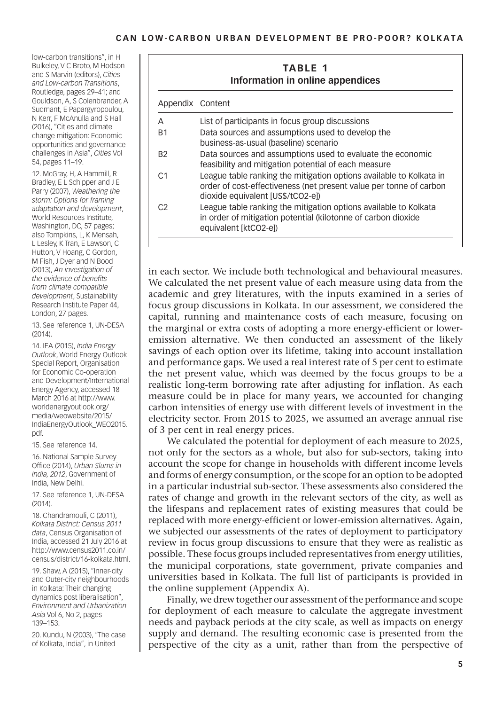low-carbon transitions", in H Bulkeley, V C Broto, M Hodson and S Marvin (editors), *Cities and Low-carbon Transitions*, Routledge, pages 29–41; and Gouldson, A, S Colenbrander, A Sudmant, E Papargyropoulou, N Kerr, F McAnulla and S Hall (2016), "Cities and climate change mitigation: Economic opportunities and governance challenges in Asia", *Cities* Vol 54, pages 11–19.

12. McGray, H, A Hammill, R Bradley, E L Schipper and J E Parry (2007), *Weathering the storm: Options for framing adaptation and development*, World Resources Institute, Washington, DC, 57 pages; also Tompkins, L, K Mensah, L Lesley, K Tran, E Lawson, C Hutton, V Hoang, C Gordon, M Fish, J Dyer and N Bood (2013), *An investigation of the evidence of benefits from climate compatible development*, Sustainability Research Institute Paper 44, London, 27 pages.

13. See reference 1, UN-DESA  $(2014)$ 

14. IEA (2015), *India Energy Outlook*, World Energy Outlook Special Report, Organisation for Economic Co-operation and Development/International Energy Agency, accessed 18 March 2016 at http://www. worldenergyoutlook.org/ media/weowebsite/2015/ IndiaEnergyOutlook\_WEO2015. pdf.

15. See reference 14.

16. National Sample Survey Office (2014), *Urban Slums in India, 2012*, Government of India, New Delhi.

17. See reference 1, UN-DESA (2014).

18. Chandramouli, C (2011), *Kolkata District: Census 2011 data*, Census Organisation of India, accessed 21 July 2016 at http://www.census2011.co.in/ census/district/16-kolkata.html.

19. Shaw, A (2015), "Inner-city and Outer-city neighbourhoods in Kolkata: Their changing dynamics post liberalisation", *Environment and Urbanization Asia* Vol 6, No 2, pages 139–153.

20. Kundu, N (2003), "The case of Kolkata, India", in United

| <b>TABLE 1</b><br>Information in online appendices |                                                                                                                                                                                |  |  |  |
|----------------------------------------------------|--------------------------------------------------------------------------------------------------------------------------------------------------------------------------------|--|--|--|
| Appendix Content                                   |                                                                                                                                                                                |  |  |  |
| А                                                  | List of participants in focus group discussions                                                                                                                                |  |  |  |
| B <sub>1</sub>                                     | Data sources and assumptions used to develop the<br>business-as-usual (baseline) scenario                                                                                      |  |  |  |
| <b>B2</b>                                          | Data sources and assumptions used to evaluate the economic<br>feasibility and mitigation potential of each measure                                                             |  |  |  |
| C <sub>1</sub>                                     | League table ranking the mitigation options available to Kolkata in<br>order of cost-effectiveness (net present value per tonne of carbon<br>dioxide equivalent [US\$/tCO2-e]) |  |  |  |
| C2                                                 | League table ranking the mitigation options available to Kolkata<br>in order of mitigation potential (kilotonne of carbon dioxide<br>equivalent [ktCO2-e])                     |  |  |  |

in each sector. We include both technological and behavioural measures. We calculated the net present value of each measure using data from the academic and grey literatures, with the inputs examined in a series of focus group discussions in Kolkata. In our assessment, we considered the capital, running and maintenance costs of each measure, focusing on the marginal or extra costs of adopting a more energy-efficient or loweremission alternative. We then conducted an assessment of the likely savings of each option over its lifetime, taking into account installation and performance gaps. We used a real interest rate of 5 per cent to estimate the net present value, which was deemed by the focus groups to be a realistic long-term borrowing rate after adjusting for inflation. As each measure could be in place for many years, we accounted for changing carbon intensities of energy use with different levels of investment in the electricity sector. From 2015 to 2025, we assumed an average annual rise of 3 per cent in real energy prices.

We calculated the potential for deployment of each measure to 2025, not only for the sectors as a whole, but also for sub-sectors, taking into account the scope for change in households with different income levels and forms of energy consumption, or the scope for an option to be adopted in a particular industrial sub-sector. These assessments also considered the rates of change and growth in the relevant sectors of the city, as well as the lifespans and replacement rates of existing measures that could be replaced with more energy-efficient or lower-emission alternatives. Again, we subjected our assessments of the rates of deployment to participatory review in focus group discussions to ensure that they were as realistic as possible. These focus groups included representatives from energy utilities, the municipal corporations, state government, private companies and universities based in Kolkata. The full list of participants is provided in the online supplement (Appendix A).

Finally, we drew together our assessment of the performance and scope for deployment of each measure to calculate the aggregate investment needs and payback periods at the city scale, as well as impacts on energy supply and demand. The resulting economic case is presented from the perspective of the city as a unit, rather than from the perspective of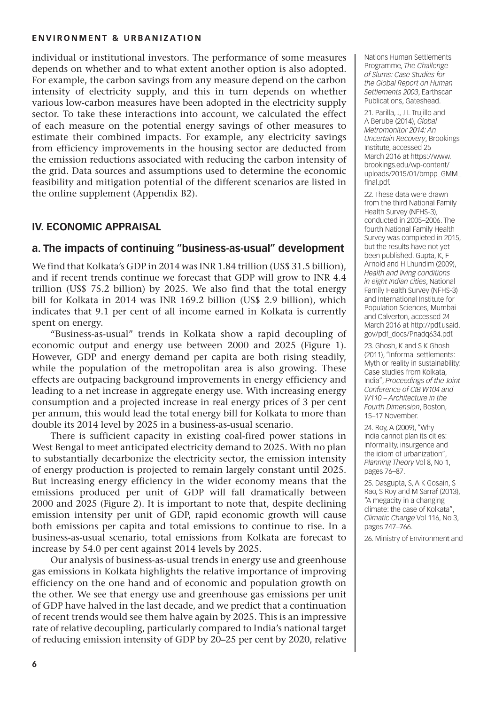individual or institutional investors. The performance of some measures depends on whether and to what extent another option is also adopted. For example, the carbon savings from any measure depend on the carbon intensity of electricity supply, and this in turn depends on whether various low-carbon measures have been adopted in the electricity supply sector. To take these interactions into account, we calculated the effect of each measure on the potential energy savings of other measures to estimate their combined impacts. For example, any electricity savings from efficiency improvements in the housing sector are deducted from the emission reductions associated with reducing the carbon intensity of the grid. Data sources and assumptions used to determine the economic feasibility and mitigation potential of the different scenarios are listed in the online supplement (Appendix B2).

# **IV. Economic Appraisal**

# **a. The impacts of continuing "business-as-usual" development**

We find that Kolkata's GDP in 2014 was INR 1.84 trillion (US\$ 31.5 billion), and if recent trends continue we forecast that GDP will grow to INR 4.4 trillion (US\$ 75.2 billion) by 2025. We also find that the total energy bill for Kolkata in 2014 was INR 169.2 billion (US\$ 2.9 billion), which indicates that 9.1 per cent of all income earned in Kolkata is currently spent on energy.

"Business-as-usual" trends in Kolkata show a rapid decoupling of economic output and energy use between 2000 and 2025 (Figure 1). However, GDP and energy demand per capita are both rising steadily, while the population of the metropolitan area is also growing. These effects are outpacing background improvements in energy efficiency and leading to a net increase in aggregate energy use. With increasing energy consumption and a projected increase in real energy prices of 3 per cent per annum, this would lead the total energy bill for Kolkata to more than double its 2014 level by 2025 in a business-as-usual scenario.

There is sufficient capacity in existing coal-fired power stations in West Bengal to meet anticipated electricity demand to 2025. With no plan to substantially decarbonize the electricity sector, the emission intensity of energy production is projected to remain largely constant until 2025. But increasing energy efficiency in the wider economy means that the emissions produced per unit of GDP will fall dramatically between 2000 and 2025 (Figure 2). It is important to note that, despite declining emission intensity per unit of GDP, rapid economic growth will cause both emissions per capita and total emissions to continue to rise. In a business-as-usual scenario, total emissions from Kolkata are forecast to increase by 54.0 per cent against 2014 levels by 2025.

Our analysis of business-as-usual trends in energy use and greenhouse gas emissions in Kolkata highlights the relative importance of improving efficiency on the one hand and of economic and population growth on the other. We see that energy use and greenhouse gas emissions per unit of GDP have halved in the last decade, and we predict that a continuation of recent trends would see them halve again by 2025. This is an impressive rate of relative decoupling, particularly compared to India's national target of reducing emission intensity of GDP by 20–25 per cent by 2020, relative

Nations Human Settlements Programme, *The Challenge of Slums: Case Studies for the Global Report on Human Settlements 2003*, Earthscan Publications, Gateshead.

21. Parilla, J, J L Trujillo and A Berube (2014), *Global Metromonitor 2014: An Uncertain Recovery*, Brookings Institute, accessed 25 March 2016 at https://www. brookings.edu/wp-content/ uploads/2015/01/bmpp\_GMM\_ final.pdf.

22. These data were drawn from the third National Family Health Survey (NFHS-3), conducted in 2005–2006. The fourth National Family Health Survey was completed in 2015, but the results have not yet been published. Gupta, K, F Arnold and H Lhundim (2009), *Health and living conditions in eight Indian cities*, National Family Health Survey (NFHS-3) and International Institute for Population Sciences, Mumbai and Calverton, accessed 24 March 2016 at http://pdf.usaid. gov/pdf\_docs/Pnadq634.pdf.

23. Ghosh, K and S K Ghosh (2011), "Informal settlements: Myth or reality in sustainability: Case studies from Kolkata, India", *Proceedings of the Joint Conference of CIB W104 and W110 – Architecture in the Fourth Dimension*, Boston, 15–17 November.

24. Roy, A (2009), "Why India cannot plan its cities: informality, insurgence and the idiom of urbanization", *Planning Theory* Vol 8, No 1, pages 76–87.

25. Dasgupta, S, A K Gosain, S Rao, S Roy and M Sarraf (2013), "A megacity in a changing climate: the case of Kolkata", *Climatic Change* Vol 116, No 3, pages 747–766.

26. Ministry of Environment and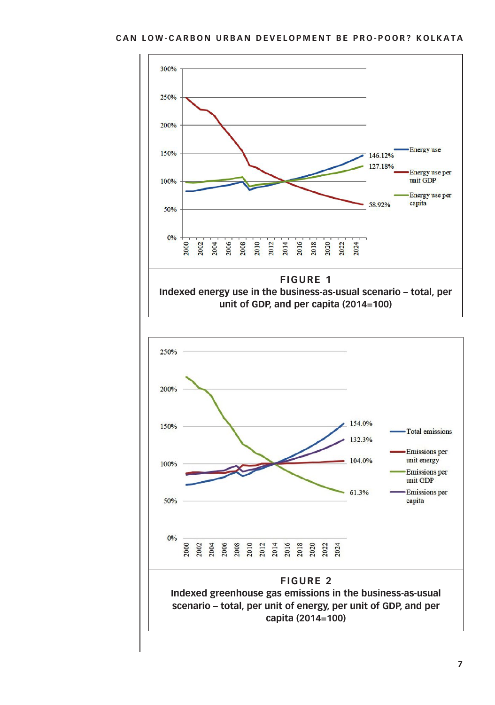



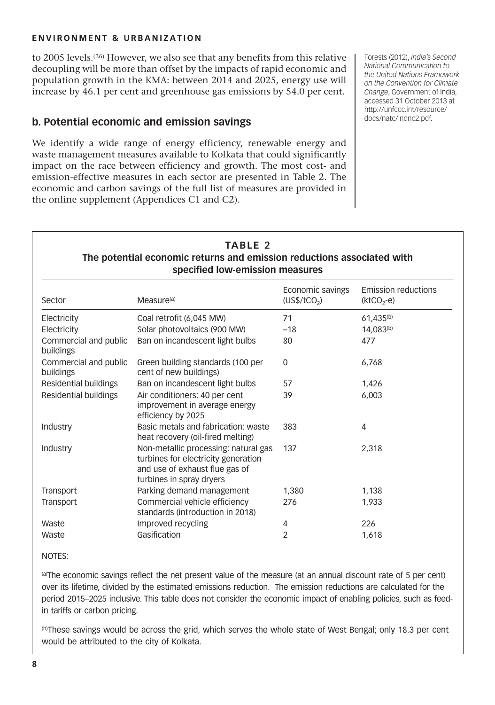to 2005 levels.(26) However, we also see that any benefits from this relative decoupling will be more than offset by the impacts of rapid economic and population growth in the KMA: between 2014 and 2025, energy use will increase by 46.1 per cent and greenhouse gas emissions by 54.0 per cent.

# **b. Potential economic and emission savings**

We identify a wide range of energy efficiency, renewable energy and waste management measures available to Kolkata that could significantly impact on the race between efficiency and growth. The most cost- and emission-effective measures in each sector are presented in Table 2. The economic and carbon savings of the full list of measures are provided in the online supplement (Appendices C1 and C2).

Forests (2012), *India's Second National Communication to the United Nations Framework on the Convention for Climate Change*, Government of India, accessed 31 October 2013 at http://unfccc.int/resource/ docs/natc/indnc2.pdf.

| <b>TABLE 2</b><br>The potential economic returns and emission reductions associated with<br>specified low-emission measures |                                                                                                                                           |                                              |                                    |  |  |
|-----------------------------------------------------------------------------------------------------------------------------|-------------------------------------------------------------------------------------------------------------------------------------------|----------------------------------------------|------------------------------------|--|--|
| Sector                                                                                                                      | Measure <sup>(a)</sup>                                                                                                                    | Economic savings<br>(US\$/tCO <sub>2</sub> ) | Emission reductions<br>$(ktCO2-e)$ |  |  |
| Electricity                                                                                                                 | Coal retrofit (6,045 MW)                                                                                                                  | 71                                           | $61,435^{(b)}$                     |  |  |
| Electricity                                                                                                                 | Solar photovoltaics (900 MW)                                                                                                              | $-18$                                        | 14,083 <sup>(b)</sup>              |  |  |
| Commercial and public<br>buildings                                                                                          | Ban on incandescent light bulbs                                                                                                           | 80                                           | 477                                |  |  |
| Commercial and public<br>buildings                                                                                          | Green building standards (100 per<br>cent of new buildings)                                                                               | $\Omega$                                     | 6,768                              |  |  |
| Residential buildings                                                                                                       | Ban on incandescent light bulbs                                                                                                           | 57                                           | 1,426                              |  |  |
| Residential buildings                                                                                                       | Air conditioners: 40 per cent<br>improvement in average energy<br>efficiency by 2025                                                      | 39                                           | 6,003                              |  |  |
| Industry                                                                                                                    | Basic metals and fabrication: waste<br>heat recovery (oil-fired melting)                                                                  | 383                                          | 4                                  |  |  |
| Industry                                                                                                                    | Non-metallic processing: natural gas<br>turbines for electricity generation<br>and use of exhaust flue gas of<br>turbines in spray dryers | 137                                          | 2,318                              |  |  |
| Transport                                                                                                                   | Parking demand management                                                                                                                 | 1.380                                        | 1,138                              |  |  |
| Transport                                                                                                                   | Commercial vehicle efficiency<br>standards (introduction in 2018)                                                                         | 276                                          | 1,933                              |  |  |
| Waste                                                                                                                       | Improved recycling                                                                                                                        | 4                                            | 226                                |  |  |
| Waste                                                                                                                       | Gasification                                                                                                                              | $\overline{2}$                               | 1,618                              |  |  |

#### NOTES:

(a) The economic savings reflect the net present value of the measure (at an annual discount rate of 5 per cent) over its lifetime, divided by the estimated emissions reduction. The emission reductions are calculated for the period 2015–2025 inclusive. This table does not consider the economic impact of enabling policies, such as feedin tariffs or carbon pricing.

(b) These savings would be across the grid, which serves the whole state of West Bengal; only 18.3 per cent would be attributed to the city of Kolkata.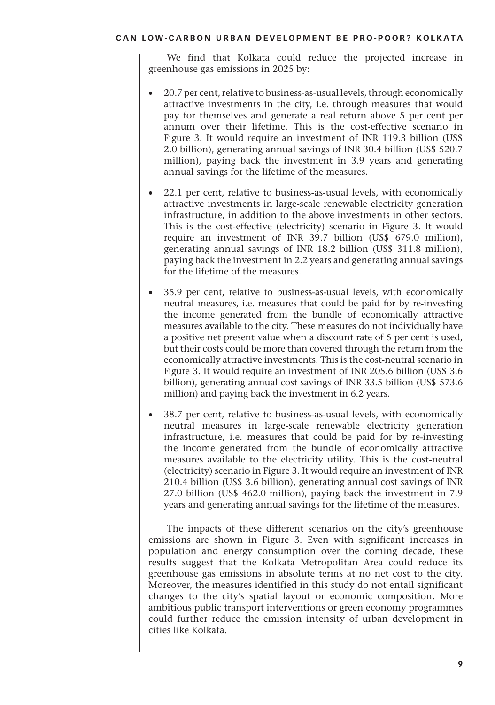# **C a n l ow- ca rbon urb a n deve l o p men t be p ro- p oor? K O LKATA**

We find that Kolkata could reduce the projected increase in greenhouse gas emissions in 2025 by:

- 20.7 per cent, relative to business-as-usual levels, through economically attractive investments in the city, i.e. through measures that would pay for themselves and generate a real return above 5 per cent per annum over their lifetime. This is the cost-effective scenario in Figure 3. It would require an investment of INR 119.3 billion (US\$ 2.0 billion), generating annual savings of INR 30.4 billion (US\$ 520.7 million), paying back the investment in 3.9 years and generating annual savings for the lifetime of the measures.
- 22.1 per cent, relative to business-as-usual levels, with economically attractive investments in large-scale renewable electricity generation infrastructure, in addition to the above investments in other sectors. This is the cost-effective (electricity) scenario in Figure 3. It would require an investment of INR 39.7 billion (US\$ 679.0 million), generating annual savings of INR 18.2 billion (US\$ 311.8 million), paying back the investment in 2.2 years and generating annual savings for the lifetime of the measures.
- 35.9 per cent, relative to business-as-usual levels, with economically neutral measures, i.e. measures that could be paid for by re-investing the income generated from the bundle of economically attractive measures available to the city. These measures do not individually have a positive net present value when a discount rate of 5 per cent is used, but their costs could be more than covered through the return from the economically attractive investments. This is the cost-neutral scenario in Figure 3. It would require an investment of INR 205.6 billion (US\$ 3.6 billion), generating annual cost savings of INR 33.5 billion (US\$ 573.6 million) and paying back the investment in 6.2 years.
- 38.7 per cent, relative to business-as-usual levels, with economically neutral measures in large-scale renewable electricity generation infrastructure, i.e. measures that could be paid for by re-investing the income generated from the bundle of economically attractive measures available to the electricity utility. This is the cost-neutral (electricity) scenario in Figure 3. It would require an investment of INR 210.4 billion (US\$ 3.6 billion), generating annual cost savings of INR 27.0 billion (US\$ 462.0 million), paying back the investment in 7.9 years and generating annual savings for the lifetime of the measures.

The impacts of these different scenarios on the city's greenhouse emissions are shown in Figure 3. Even with significant increases in population and energy consumption over the coming decade, these results suggest that the Kolkata Metropolitan Area could reduce its greenhouse gas emissions in absolute terms at no net cost to the city. Moreover, the measures identified in this study do not entail significant changes to the city's spatial layout or economic composition. More ambitious public transport interventions or green economy programmes could further reduce the emission intensity of urban development in cities like Kolkata.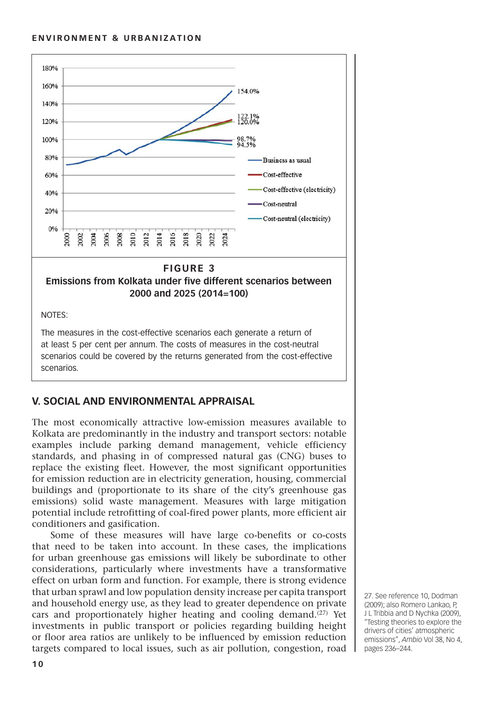

at least 5 per cent per annum. The costs of measures in the cost-neutral scenarios could be covered by the returns generated from the cost-effective scenarios.

# **V. Social and Environmental Appraisal**

The most economically attractive low-emission measures available to Kolkata are predominantly in the industry and transport sectors: notable examples include parking demand management, vehicle efficiency standards, and phasing in of compressed natural gas (CNG) buses to replace the existing fleet. However, the most significant opportunities for emission reduction are in electricity generation, housing, commercial buildings and (proportionate to its share of the city's greenhouse gas emissions) solid waste management. Measures with large mitigation potential include retrofitting of coal-fired power plants, more efficient air conditioners and gasification.

Some of these measures will have large co-benefits or co-costs that need to be taken into account. In these cases, the implications for urban greenhouse gas emissions will likely be subordinate to other considerations, particularly where investments have a transformative effect on urban form and function. For example, there is strong evidence that urban sprawl and low population density increase per capita transport and household energy use, as they lead to greater dependence on private cars and proportionately higher heating and cooling demand.(27) Yet investments in public transport or policies regarding building height or floor area ratios are unlikely to be influenced by emission reduction targets compared to local issues, such as air pollution, congestion, road

27. See reference 10, Dodman (2009); also Romero Lankao, P, J L Tribbia and D Nychka (2009), "Testing theories to explore the drivers of cities' atmospheric emissions", *Ambio* Vol 38, No 4, pages 236–244.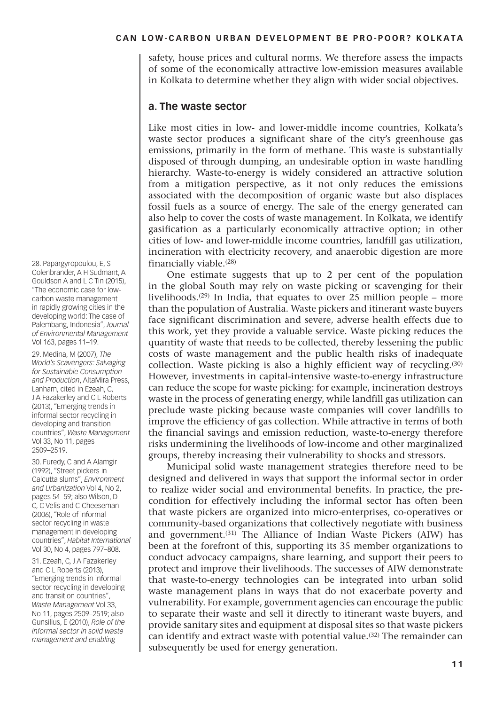safety, house prices and cultural norms. We therefore assess the impacts of some of the economically attractive low-emission measures available in Kolkata to determine whether they align with wider social objectives.

# **a. The waste sector**

Like most cities in low- and lower-middle income countries, Kolkata's waste sector produces a significant share of the city's greenhouse gas emissions, primarily in the form of methane. This waste is substantially disposed of through dumping, an undesirable option in waste handling hierarchy. Waste-to-energy is widely considered an attractive solution from a mitigation perspective, as it not only reduces the emissions associated with the decomposition of organic waste but also displaces fossil fuels as a source of energy. The sale of the energy generated can also help to cover the costs of waste management. In Kolkata, we identify gasification as a particularly economically attractive option; in other cities of low- and lower-middle income countries, landfill gas utilization, incineration with electricity recovery, and anaerobic digestion are more financially viable.(28)

One estimate suggests that up to 2 per cent of the population in the global South may rely on waste picking or scavenging for their livelihoods.<sup> $(29)$ </sup> In India, that equates to over 25 million people – more than the population of Australia. Waste pickers and itinerant waste buyers face significant discrimination and severe, adverse health effects due to this work, yet they provide a valuable service. Waste picking reduces the quantity of waste that needs to be collected, thereby lessening the public costs of waste management and the public health risks of inadequate collection. Waste picking is also a highly efficient way of recycling.(30) However, investments in capital-intensive waste-to-energy infrastructure can reduce the scope for waste picking: for example, incineration destroys waste in the process of generating energy, while landfill gas utilization can preclude waste picking because waste companies will cover landfills to improve the efficiency of gas collection. While attractive in terms of both the financial savings and emission reduction, waste-to-energy therefore risks undermining the livelihoods of low-income and other marginalized groups, thereby increasing their vulnerability to shocks and stressors.

Municipal solid waste management strategies therefore need to be designed and delivered in ways that support the informal sector in order to realize wider social and environmental benefits. In practice, the precondition for effectively including the informal sector has often been that waste pickers are organized into micro-enterprises, co-operatives or community-based organizations that collectively negotiate with business and government.<sup>(31)</sup> The Alliance of Indian Waste Pickers (AIW) has been at the forefront of this, supporting its 35 member organizations to conduct advocacy campaigns, share learning, and support their peers to protect and improve their livelihoods. The successes of AIW demonstrate that waste-to-energy technologies can be integrated into urban solid waste management plans in ways that do not exacerbate poverty and vulnerability. For example, government agencies can encourage the public to separate their waste and sell it directly to itinerant waste buyers, and provide sanitary sites and equipment at disposal sites so that waste pickers can identify and extract waste with potential value.(32) The remainder can subsequently be used for energy generation.

28. Papargyropoulou, E, S Colenbrander, A H Sudmant, A Gouldson A and L C Tin (2015), "The economic case for lowcarbon waste management in rapidly growing cities in the developing world: The case of Palembang, Indonesia", *Journal of Environmental Management* Vol 163, pages 11–19.

29. Medina, M (2007), *The World's Scavengers: Salvaging for Sustainable Consumption and Production*, AltaMira Press, Lanham, cited in Ezeah, C, J A Fazakerley and C L Roberts (2013), "Emerging trends in informal sector recycling in developing and transition countries", *Waste Management* Vol 33, No 11, pages 2509–2519.

30. Furedy, C and A Alamgir (1992), "Street pickers in Calcutta slums", *Environment and Urbanization* Vol 4, No 2, pages 54–59; also Wilson, D C, C Velis and C Cheeseman (2006), "Role of informal sector recycling in waste management in developing countries", *Habitat International* Vol 30, No 4, pages 797–808.

31. Ezeah, C, J A Fazakerley and C L Roberts (2013), "Emerging trends in informal sector recycling in developing and transition countries", *Waste Management* Vol 33, No 11, pages 2509–2519; also Gunsilius, E (2010), *Role of the informal sector in solid waste management and enabling*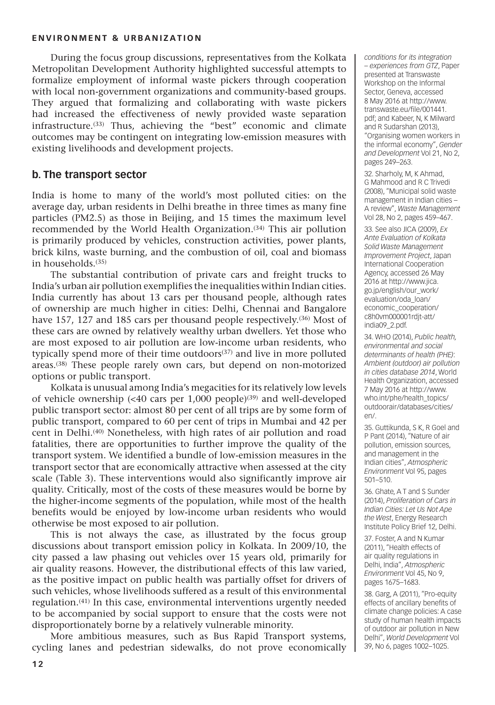During the focus group discussions, representatives from the Kolkata Metropolitan Development Authority highlighted successful attempts to formalize employment of informal waste pickers through cooperation with local non-government organizations and community-based groups. They argued that formalizing and collaborating with waste pickers had increased the effectiveness of newly provided waste separation infrastructure.(33) Thus, achieving the "best" economic and climate outcomes may be contingent on integrating low-emission measures with existing livelihoods and development projects.

# **b. The transport sector**

India is home to many of the world's most polluted cities: on the average day, urban residents in Delhi breathe in three times as many fine particles (PM2.5) as those in Beijing, and 15 times the maximum level recommended by the World Health Organization.(34) This air pollution is primarily produced by vehicles, construction activities, power plants, brick kilns, waste burning, and the combustion of oil, coal and biomass in households.(35)

The substantial contribution of private cars and freight trucks to India's urban air pollution exemplifies the inequalities within Indian cities. India currently has about 13 cars per thousand people, although rates of ownership are much higher in cities: Delhi, Chennai and Bangalore have 157, 127 and 185 cars per thousand people respectively.<sup>(36)</sup> Most of these cars are owned by relatively wealthy urban dwellers. Yet those who are most exposed to air pollution are low-income urban residents, who typically spend more of their time outdoors<sup>(37)</sup> and live in more polluted areas.(38) These people rarely own cars, but depend on non-motorized options or public transport.

Kolkata is unusual among India's megacities for its relatively low levels of vehicle ownership  $\left($ <40 cars per 1,000 people $\right)$ <sup>(39)</sup> and well-developed public transport sector: almost 80 per cent of all trips are by some form of public transport, compared to 60 per cent of trips in Mumbai and 42 per cent in Delhi.<sup>(40)</sup> Nonetheless, with high rates of air pollution and road fatalities, there are opportunities to further improve the quality of the transport system. We identified a bundle of low-emission measures in the transport sector that are economically attractive when assessed at the city scale (Table 3). These interventions would also significantly improve air quality. Critically, most of the costs of these measures would be borne by the higher-income segments of the population, while most of the health benefits would be enjoyed by low-income urban residents who would otherwise be most exposed to air pollution.

This is not always the case, as illustrated by the focus group discussions about transport emission policy in Kolkata. In 2009/10, the city passed a law phasing out vehicles over 15 years old, primarily for air quality reasons. However, the distributional effects of this law varied, as the positive impact on public health was partially offset for drivers of such vehicles, whose livelihoods suffered as a result of this environmental regulation.(41) In this case, environmental interventions urgently needed to be accompanied by social support to ensure that the costs were not disproportionately borne by a relatively vulnerable minority.

More ambitious measures, such as Bus Rapid Transport systems, cycling lanes and pedestrian sidewalks, do not prove economically *conditions for its integration – experiences from GTZ*, Paper presented at Transwaste Workshop on the Informal Sector, Geneva, accessed 8 May 2016 at http://www. transwaste.eu/file/001441. pdf; and Kabeer, N, K Milward and R Sudarshan (2013), "Organising women workers in the informal economy", *Gender and Development* Vol 21, No 2, pages 249–263.

32. Sharholy, M, K Ahmad, G Mahmood and R C Trivedi (2008), "Municipal solid waste management in Indian cities – A review", *Waste Management* Vol 28, No 2, pages 459–467.

33. See also JICA (2009), *Ex Ante Evaluation of Kolkata Solid Waste Management Improvement Project*, Japan International Cooperation Agency, accessed 26 May 2016 at http://www.jica. go.jp/english/our\_work/ evaluation/oda\_loan/ economic\_cooperation/ c8h0vm000001rdjt-att/ india09\_2.pdf.

34. WHO (2014), *Public health, environmental and social determinants of health (PHE)*: *Ambient (outdoor) air pollution in cities database 2014*, World Health Organization, accessed 7 May 2016 at http://www. who.int/phe/health\_topics/ outdoorair/databases/cities/ en/.

35. Guttikunda, S K, R Goel and P Pant (2014), "Nature of air pollution, emission sources, and management in the Indian cities", *Atmospheric Environment* Vol 95, pages 501–510.

36. Ghate, A T and S Sunder (2014), *Proliferation of Cars in Indian Cities: Let Us Not Ape the West*, Energy Research Institute Policy Brief 12, Delhi.

37. Foster, A and N Kumar (2011), "Health effects of air quality regulations in Delhi, India", *Atmospheric Environment* Vol 45, No 9, pages 1675–1683.

38. Garg, A (2011), "Pro-equity effects of ancillary benefits of climate change policies: A case study of human health impacts of outdoor air pollution in New Delhi", *World Development* Vol 39, No 6, pages 1002–1025.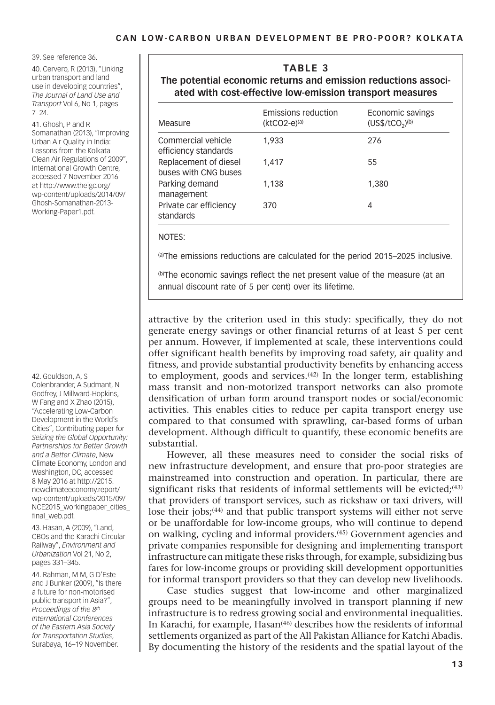39. See reference 36.

40. Cervero, R (2013), "Linking urban transport and land use in developing countries", *The Journal of Land Use and Transport* Vol 6, No 1, pages 7–24.

#### 41. Ghosh, P and R

Somanathan (2013), "Improving Urban Air Quality in India: Lessons from the Kolkata Clean Air Regulations of 2009", International Growth Centre, accessed 7 November 2016 at http://www.theigc.org/ wp-content/uploads/2014/09/ Ghosh-Somanathan-2013- Working-Paper1.pdf.

42. Gouldson, A, S Colenbrander, A Sudmant, N Godfrey, J Millward-Hopkins, W Fang and X Zhao (2015), "Accelerating Low-Carbon Development in the World's Cities", Contributing paper for *Seizing the Global Opportunity: Partnerships for Better Growth and a Better Climate*, New Climate Economy, London and Washington, DC, accessed 8 May 2016 at http://2015. newclimateeconomy.report/ wp-content/uploads/2015/09/ NCE2015\_workingpaper\_cities\_ final\_web.pdf.

43. Hasan, A (2009), "Land, CBOs and the Karachi Circular Railway", *Environment and Urbanization* Vol 21, No 2, pages 331–345.

44. Rahman, M M, G D'Este and J Bunker (2009), "Is there a future for non-motorised public transport in Asia?", *Proceedings of the 8th International Conferences of the Eastern Asia Society for Transportation Studies*, Surabaya, 16–19 November.

# **Table 3 The potential economic returns and emission reductions associated with cost-effective low-emission transport measures**

| Measure                                       | Emissions reduction<br>$(ktCO2-e)^{(a)}$ | Economic savings<br>(US\$/tCO <sub>2</sub> ) <sup>(b)</sup> |
|-----------------------------------------------|------------------------------------------|-------------------------------------------------------------|
| Commercial vehicle<br>efficiency standards    | 1.933                                    | 276                                                         |
| Replacement of diesel<br>buses with CNG buses | 1.417                                    | 55                                                          |
| Parking demand<br>management                  | 1,138                                    | 1,380                                                       |
| Private car efficiency<br>standards           | 370                                      | 4                                                           |

#### NOTES:

(a) The emissions reductions are calculated for the period 2015–2025 inclusive.

(b) The economic savings reflect the net present value of the measure (at an annual discount rate of 5 per cent) over its lifetime.

attractive by the criterion used in this study: specifically, they do not generate energy savings or other financial returns of at least 5 per cent per annum. However, if implemented at scale, these interventions could offer significant health benefits by improving road safety, air quality and fitness, and provide substantial productivity benefits by enhancing access to employment, goods and services.<sup> $(42)$ </sup> In the longer term, establishing mass transit and non-motorized transport networks can also promote densification of urban form around transport nodes or social/economic activities. This enables cities to reduce per capita transport energy use compared to that consumed with sprawling, car-based forms of urban development. Although difficult to quantify, these economic benefits are substantial.

However, all these measures need to consider the social risks of new infrastructure development, and ensure that pro-poor strategies are mainstreamed into construction and operation. In particular, there are significant risks that residents of informal settlements will be evicted; $(43)$ that providers of transport services, such as rickshaw or taxi drivers, will lose their jobs;<sup>(44)</sup> and that public transport systems will either not serve or be unaffordable for low-income groups, who will continue to depend on walking, cycling and informal providers.(45) Government agencies and private companies responsible for designing and implementing transport infrastructure can mitigate these risks through, for example, subsidizing bus fares for low-income groups or providing skill development opportunities for informal transport providers so that they can develop new livelihoods.

Case studies suggest that low-income and other marginalized groups need to be meaningfully involved in transport planning if new infrastructure is to redress growing social and environmental inequalities. In Karachi, for example, Hasan<sup>(46)</sup> describes how the residents of informal settlements organized as part of the All Pakistan Alliance for Katchi Abadis. By documenting the history of the residents and the spatial layout of the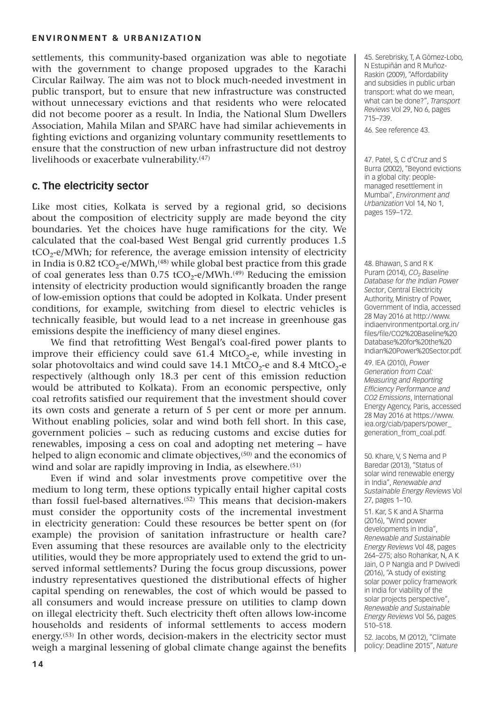settlements, this community-based organization was able to negotiate with the government to change proposed upgrades to the Karachi Circular Railway. The aim was not to block much-needed investment in public transport, but to ensure that new infrastructure was constructed without unnecessary evictions and that residents who were relocated did not become poorer as a result. In India, the National Slum Dwellers Association, Mahila Milan and SPARC have had similar achievements in fighting evictions and organizing voluntary community resettlements to ensure that the construction of new urban infrastructure did not destroy livelihoods or exacerbate vulnerability.(47)

# **c. The electricity sector**

Like most cities, Kolkata is served by a regional grid, so decisions about the composition of electricity supply are made beyond the city boundaries. Yet the choices have huge ramifications for the city. We calculated that the coal-based West Bengal grid currently produces 1.5  $tCO<sub>2</sub>$ -e/MWh; for reference, the average emission intensity of electricity in India is  $0.82$  tCO<sub>2</sub>-e/MWh,<sup>(48)</sup> while global best practice from this grade of coal generates less than 0.75 tCO<sub>2</sub>-e/MWh.<sup>(49)</sup> Reducing the emission intensity of electricity production would significantly broaden the range of low-emission options that could be adopted in Kolkata. Under present conditions, for example, switching from diesel to electric vehicles is technically feasible, but would lead to a net increase in greenhouse gas emissions despite the inefficiency of many diesel engines.

We find that retrofitting West Bengal's coal-fired power plants to improve their efficiency could save  $61.4$  MtCO<sub>2</sub>-e, while investing in solar photovoltaics and wind could save 14.1 MtCO<sub>2</sub>-e and 8.4 MtCO<sub>2</sub>-e respectively (although only 18.3 per cent of this emission reduction would be attributed to Kolkata). From an economic perspective, only coal retrofits satisfied our requirement that the investment should cover its own costs and generate a return of 5 per cent or more per annum. Without enabling policies, solar and wind both fell short. In this case, government policies – such as reducing customs and excise duties for renewables, imposing a cess on coal and adopting net metering – have helped to align economic and climate objectives,<sup>(50)</sup> and the economics of wind and solar are rapidly improving in India, as elsewhere.<sup>(51)</sup>

Even if wind and solar investments prove competitive over the medium to long term, these options typically entail higher capital costs than fossil fuel-based alternatives.(52) This means that decision-makers must consider the opportunity costs of the incremental investment in electricity generation: Could these resources be better spent on (for example) the provision of sanitation infrastructure or health care? Even assuming that these resources are available only to the electricity utilities, would they be more appropriately used to extend the grid to unserved informal settlements? During the focus group discussions, power industry representatives questioned the distributional effects of higher capital spending on renewables, the cost of which would be passed to all consumers and would increase pressure on utilities to clamp down on illegal electricity theft. Such electricity theft often allows low-income households and residents of informal settlements to access modern energy.<sup>(53)</sup> In other words, decision-makers in the electricity sector must weigh a marginal lessening of global climate change against the benefits 45. Serebrisky, T, A Gómez-Lobo, N Estupiñán and R Muñoz-Raskin (2009), "Affordability and subsidies in public urban transport: what do we mean, what can be done?", *Transport Reviews* Vol 29, No 6, pages 715–739.

46. See reference 43.

47. Patel, S, C d'Cruz and S Burra (2002), "Beyond evictions in a global city: peoplemanaged resettlement in Mumbai", *Environment and Urbanization* Vol 14, No 1, pages 159–172.

48. Bhawan, S and R K Puram (2014), *CO<sub>2</sub> Baseline Database for the Indian Power Sector*, Central Electricity Authority, Ministry of Power, Government of India, accessed 28 May 2016 at http://www. indiaenvironmentportal.org.in/ files/file/CO2%20Baseline%20 Database%20for%20the%20 Indian%20Power%20Sector.pdf.

49. IEA (2010), *Power Generation from Coal: Measuring and Reporting Efficiency Performance and CO2 Emissions*, International Energy Agency, Paris, accessed 28 May 2016 at https://www. iea.org/ciab/papers/power\_ generation\_from\_coal.pdf.

50. Khare, V, S Nema and P Baredar (2013), "Status of solar wind renewable energy in India", *Renewable and Sustainable Energy Reviews* Vol 27, pages 1–10.

51. Kar, S K and A Sharma (2016), "Wind power developments in India", *Renewable and Sustainable Energy Reviews* Vol 48, pages 264–275; also Rohankar, N, A K Jain, O P Nangia and P Dwivedi (2016), "A study of existing solar power policy framework in India for viability of the solar projects perspective", *Renewable and Sustainable Energy Reviews* Vol 56, pages 510–518.

52. Jacobs, M (2012), "Climate policy: Deadline 2015", *Nature*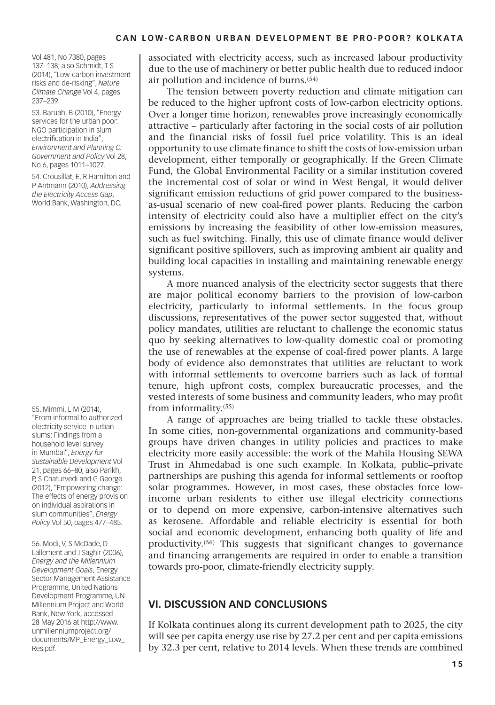Vol 481, No 7380, pages 137–138; also Schmidt, T S (2014), "Low-carbon investment risks and de-risking", *Nature Climate Change* Vol 4, pages 237–239.

53. Baruah, B (2010), "Energy services for the urban poor: NGO participation in slum electrification in India", *Environment and Planning C: Government and Policy* Vol 28, No 6, pages 1011–1027.

54. Crousillat, E, R Hamilton and P Antmann (2010), *Addressing the Electricity Access Gap*, World Bank, Washington, DC.

55. Mimmi, L M (2014), "From informal to authorized electricity service in urban slums: Findings from a household level survey in Mumbai", *Energy for Sustainable Development* Vol 21, pages 66–80; also Parikh, P, S Chaturvedi and G George (2012), "Empowering change: The effects of energy provision on individual aspirations in slum communities", *Energy Policy* Vol 50, pages 477–485.

56. Modi, V, S McDade, D Lallement and J Saghir (2006), *Energy and the Millennium Development Goals*, Energy Sector Management Assistance Programme, United Nations Development Programme, UN Millennium Project and World Bank, New York, accessed 28 May 2016 at http://www. unmillenniumproject.org/ documents/MP\_Energy\_Low\_ Res.pdf.

associated with electricity access, such as increased labour productivity due to the use of machinery or better public health due to reduced indoor air pollution and incidence of burns. $(54)$ 

The tension between poverty reduction and climate mitigation can be reduced to the higher upfront costs of low-carbon electricity options. Over a longer time horizon, renewables prove increasingly economically attractive – particularly after factoring in the social costs of air pollution and the financial risks of fossil fuel price volatility. This is an ideal opportunity to use climate finance to shift the costs of low-emission urban development, either temporally or geographically. If the Green Climate Fund, the Global Environmental Facility or a similar institution covered the incremental cost of solar or wind in West Bengal, it would deliver significant emission reductions of grid power compared to the businessas-usual scenario of new coal-fired power plants. Reducing the carbon intensity of electricity could also have a multiplier effect on the city's emissions by increasing the feasibility of other low-emission measures, such as fuel switching. Finally, this use of climate finance would deliver significant positive spillovers, such as improving ambient air quality and building local capacities in installing and maintaining renewable energy systems.

A more nuanced analysis of the electricity sector suggests that there are major political economy barriers to the provision of low-carbon electricity, particularly to informal settlements. In the focus group discussions, representatives of the power sector suggested that, without policy mandates, utilities are reluctant to challenge the economic status quo by seeking alternatives to low-quality domestic coal or promoting the use of renewables at the expense of coal-fired power plants. A large body of evidence also demonstrates that utilities are reluctant to work with informal settlements to overcome barriers such as lack of formal tenure, high upfront costs, complex bureaucratic processes, and the vested interests of some business and community leaders, who may profit from informality.(55)

A range of approaches are being trialled to tackle these obstacles. In some cities, non-governmental organizations and community-based groups have driven changes in utility policies and practices to make electricity more easily accessible: the work of the Mahila Housing SEWA Trust in Ahmedabad is one such example. In Kolkata, public–private partnerships are pushing this agenda for informal settlements or rooftop solar programmes. However, in most cases, these obstacles force lowincome urban residents to either use illegal electricity connections or to depend on more expensive, carbon-intensive alternatives such as kerosene. Affordable and reliable electricity is essential for both social and economic development, enhancing both quality of life and productivity.(56) This suggests that significant changes to governance and financing arrangements are required in order to enable a transition towards pro-poor, climate-friendly electricity supply.

# **VI. Discussion and Conclusions**

If Kolkata continues along its current development path to 2025, the city will see per capita energy use rise by 27.2 per cent and per capita emissions by 32.3 per cent, relative to 2014 levels. When these trends are combined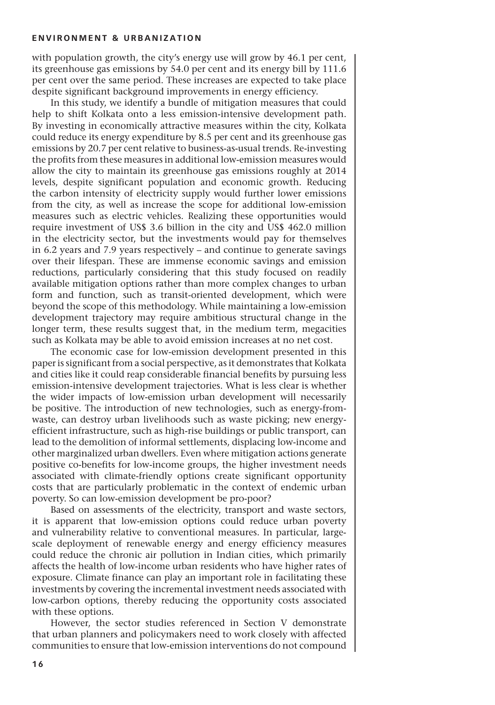with population growth, the city's energy use will grow by 46.1 per cent, its greenhouse gas emissions by 54.0 per cent and its energy bill by 111.6 per cent over the same period. These increases are expected to take place despite significant background improvements in energy efficiency.

In this study, we identify a bundle of mitigation measures that could help to shift Kolkata onto a less emission-intensive development path. By investing in economically attractive measures within the city, Kolkata could reduce its energy expenditure by 8.5 per cent and its greenhouse gas emissions by 20.7 per cent relative to business-as-usual trends. Re-investing the profits from these measures in additional low-emission measures would allow the city to maintain its greenhouse gas emissions roughly at 2014 levels, despite significant population and economic growth. Reducing the carbon intensity of electricity supply would further lower emissions from the city, as well as increase the scope for additional low-emission measures such as electric vehicles. Realizing these opportunities would require investment of US\$ 3.6 billion in the city and US\$ 462.0 million in the electricity sector, but the investments would pay for themselves in 6.2 years and 7.9 years respectively – and continue to generate savings over their lifespan. These are immense economic savings and emission reductions, particularly considering that this study focused on readily available mitigation options rather than more complex changes to urban form and function, such as transit-oriented development, which were beyond the scope of this methodology. While maintaining a low-emission development trajectory may require ambitious structural change in the longer term, these results suggest that, in the medium term, megacities such as Kolkata may be able to avoid emission increases at no net cost.

The economic case for low-emission development presented in this paper is significant from a social perspective, as it demonstrates that Kolkata and cities like it could reap considerable financial benefits by pursuing less emission-intensive development trajectories. What is less clear is whether the wider impacts of low-emission urban development will necessarily be positive. The introduction of new technologies, such as energy-fromwaste, can destroy urban livelihoods such as waste picking; new energyefficient infrastructure, such as high-rise buildings or public transport, can lead to the demolition of informal settlements, displacing low-income and other marginalized urban dwellers. Even where mitigation actions generate positive co-benefits for low-income groups, the higher investment needs associated with climate-friendly options create significant opportunity costs that are particularly problematic in the context of endemic urban poverty. So can low-emission development be pro-poor?

Based on assessments of the electricity, transport and waste sectors, it is apparent that low-emission options could reduce urban poverty and vulnerability relative to conventional measures. In particular, largescale deployment of renewable energy and energy efficiency measures could reduce the chronic air pollution in Indian cities, which primarily affects the health of low-income urban residents who have higher rates of exposure. Climate finance can play an important role in facilitating these investments by covering the incremental investment needs associated with low-carbon options, thereby reducing the opportunity costs associated with these options.

However, the sector studies referenced in Section V demonstrate that urban planners and policymakers need to work closely with affected communities to ensure that low-emission interventions do not compound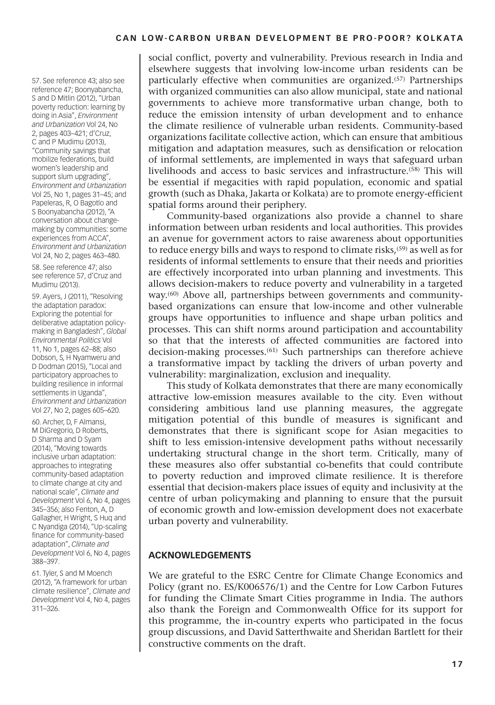57. See reference 43; also see reference 47; Boonyabancha, S and D Mitlin (2012), "Urban poverty reduction: learning by doing in Asia", *Environment and Urbanization* Vol 24, No 2, pages 403–421; d'Cruz, C and P Mudimu (2013), "Community savings that mobilize federations, build women's leadership and support slum upgrading", *Environment and Urbanization* Vol 25, No 1, pages 31–45; and Papeleras, R, O Bagotlo and S Boonyabancha (2012), "A conversation about changemaking by communities: some experiences from ACCA", *Environment and Urbanization* Vol 24, No 2, pages 463–480.

58. See reference 47; also see reference 57, d'Cruz and Mudimu (2013).

59 Avers, J (2011), "Resolving the adaptation paradox: Exploring the potential for deliberative adaptation policymaking in Bangladesh", *Global Environmental Politics* Vol 11, No 1, pages 62–88; also Dobson, S, H Nyamweru and D Dodman (2015), "Local and participatory approaches to building resilience in informal settlements in Uganda", *Environment and Urbanization* Vol 27, No 2, pages 605–620.

60. Archer, D, F Almansi, M DiGregorio, D Roberts, D Sharma and D Syam (2014), "Moving towards inclusive urban adaptation: approaches to integrating community-based adaptation to climate change at city and national scale", *Climate and Development* Vol 6, No 4, pages 345–356; also Fenton, A, D Gallagher, H Wright, S Huq and C Nyandiga (2014), "Up-scaling finance for community-based adaptation", *Climate and Development* Vol 6, No 4, pages 388–397.

61. Tyler, S and M Moench (2012), "A framework for urban climate resilience", *Climate and Development* Vol 4, No 4, pages 311–326.

social conflict, poverty and vulnerability. Previous research in India and elsewhere suggests that involving low-income urban residents can be particularly effective when communities are organized.(57) Partnerships with organized communities can also allow municipal, state and national governments to achieve more transformative urban change, both to reduce the emission intensity of urban development and to enhance the climate resilience of vulnerable urban residents. Community-based organizations facilitate collective action, which can ensure that ambitious mitigation and adaptation measures, such as densification or relocation of informal settlements, are implemented in ways that safeguard urban livelihoods and access to basic services and infrastructure.(58) This will be essential if megacities with rapid population, economic and spatial growth (such as Dhaka, Jakarta or Kolkata) are to promote energy-efficient spatial forms around their periphery.

Community-based organizations also provide a channel to share information between urban residents and local authorities. This provides an avenue for government actors to raise awareness about opportunities to reduce energy bills and ways to respond to climate risks,(59) as well as for residents of informal settlements to ensure that their needs and priorities are effectively incorporated into urban planning and investments. This allows decision-makers to reduce poverty and vulnerability in a targeted way.<sup>(60)</sup> Above all, partnerships between governments and communitybased organizations can ensure that low-income and other vulnerable groups have opportunities to influence and shape urban politics and processes. This can shift norms around participation and accountability so that that the interests of affected communities are factored into decision-making processes.(61) Such partnerships can therefore achieve a transformative impact by tackling the drivers of urban poverty and vulnerability: marginalization, exclusion and inequality.

This study of Kolkata demonstrates that there are many economically attractive low-emission measures available to the city. Even without considering ambitious land use planning measures, the aggregate mitigation potential of this bundle of measures is significant and demonstrates that there is significant scope for Asian megacities to shift to less emission-intensive development paths without necessarily undertaking structural change in the short term. Critically, many of these measures also offer substantial co-benefits that could contribute to poverty reduction and improved climate resilience. It is therefore essential that decision-makers place issues of equity and inclusivity at the centre of urban policymaking and planning to ensure that the pursuit of economic growth and low-emission development does not exacerbate urban poverty and vulnerability.

# **Acknowledgements**

We are grateful to the ESRC Centre for Climate Change Economics and Policy (grant no. ES/K006576/1) and the Centre for Low Carbon Futures for funding the Climate Smart Cities programme in India. The authors also thank the Foreign and Commonwealth Office for its support for this programme, the in-country experts who participated in the focus group discussions, and David Satterthwaite and Sheridan Bartlett for their constructive comments on the draft.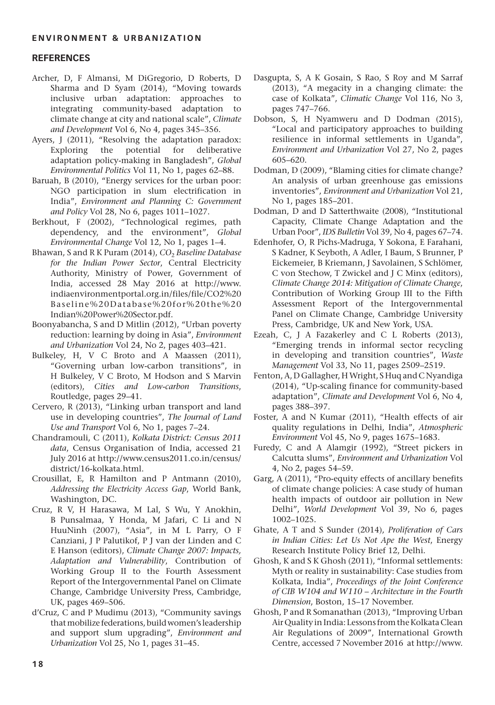# **References**

- Archer, D, F Almansi, M DiGregorio, D Roberts, D Sharma and D Syam (2014), "Moving towards inclusive urban adaptation: approaches to integrating community-based adaptation to climate change at city and national scale", *Climate and Development* Vol 6, No 4, pages 345–356.
- Ayers, J (2011), "Resolving the adaptation paradox:<br>Exploring the potential for deliberative potential for deliberative adaptation policy-making in Bangladesh", *Global Environmental Politics* Vol 11, No 1, pages 62–88.
- Baruah, B (2010), "Energy services for the urban poor: NGO participation in slum electrification in India", *Environment and Planning C: Government and Policy* Vol 28, No 6, pages 1011–1027.
- Berkhout, F (2002), "Technological regimes, path dependency, and the environment", *Global Environmental Change* Vol 12, No 1, pages 1–4.
- Bhawan, S and R K Puram (2014), *CO*2 *Baseline Database for the Indian Power Sector*, Central Electricity Authority, Ministry of Power, Government of India, accessed 28 May 2016 at http://www. indiaenvironmentportal.org.in/files/file/CO2%20 Baseline%20Database%20for%20the%20 Indian%20Power%20Sector.pdf.
- Boonyabancha, S and D Mitlin (2012), "Urban poverty reduction: learning by doing in Asia", *Environment and Urbanization* Vol 24, No 2, pages 403–421.
- Bulkeley, H, V C Broto and A Maassen (2011), "Governing urban low-carbon transitions", in H Bulkeley, V C Broto, M Hodson and S Marvin (editors), *Cities and Low-carbon Transitions*, Routledge, pages 29–41.
- Cervero, R (2013), "Linking urban transport and land use in developing countries", *The Journal of Land Use and Transport* Vol 6, No 1, pages 7–24.
- Chandramouli, C (2011), *Kolkata District: Census 2011 data*, Census Organisation of India, accessed 21 July 2016 at http://www.census2011.co.in/census/ district/16-kolkata.html.
- Crousillat, E, R Hamilton and P Antmann (2010), *Addressing the Electricity Access Gap*, World Bank, Washington, DC.
- Cruz, R V, H Harasawa, M Lal, S Wu, Y Anokhin, B Punsalmaa, Y Honda, M Jafari, C Li and N HuuNinh (2007), "Asia", in M L Parry, O F Canziani, J P Palutikof, P J van der Linden and C E Hanson (editors), *Climate Change 2007: Impacts, Adaptation and Vulnerability*, Contribution of Working Group II to the Fourth Assessment Report of the Intergovernmental Panel on Climate Change, Cambridge University Press, Cambridge, UK, pages 469–506.
- d'Cruz, C and P Mudimu (2013), "Community savings that mobilize federations, build women's leadership and support slum upgrading", *Environment and Urbanization* Vol 25, No 1, pages 31–45.
- Dasgupta, S, A K Gosain, S Rao, S Roy and M Sarraf (2013), "A megacity in a changing climate: the case of Kolkata", *Climatic Change* Vol 116, No 3, pages 747–766.
- Dobson, S, H Nyamweru and D Dodman (2015), "Local and participatory approaches to building resilience in informal settlements in Uganda", *Environment and Urbanization* Vol 27, No 2, pages 605–620.
- Dodman, D (2009), "Blaming cities for climate change? An analysis of urban greenhouse gas emissions inventories", *Environment and Urbanization* Vol 21, No 1, pages 185–201.
- Dodman, D and D Satterthwaite (2008), "Institutional Capacity, Climate Change Adaptation and the Urban Poor", *IDS Bulletin* Vol 39, No 4, pages 67–74.
- Edenhofer, O, R Pichs-Madruga, Y Sokona, E Farahani, S Kadner, K Seyboth, A Adler, I Baum, S Brunner, P Eickemeier, B Kriemann, J Savolainen, S Schlömer, C von Stechow, T Zwickel and J C Minx (editors), *Climate Change 2014: Mitigation of Climate Change*, Contribution of Working Group III to the Fifth Assessment Report of the Intergovernmental Panel on Climate Change, Cambridge University Press, Cambridge, UK and New York, USA.
- Ezeah, C, J A Fazakerley and C L Roberts (2013), "Emerging trends in informal sector recycling in developing and transition countries", *Waste Management* Vol 33, No 11, pages 2509–2519.
- Fenton, A, D Gallagher, H Wright, S Huq and C Nyandiga (2014), "Up-scaling finance for community-based adaptation", *Climate and Development* Vol 6, No 4, pages 388–397.
- Foster, A and N Kumar (2011), "Health effects of air quality regulations in Delhi, India", *Atmospheric Environment* Vol 45, No 9, pages 1675–1683.
- Furedy, C and A Alamgir (1992), "Street pickers in Calcutta slums", *Environment and Urbanization* Vol 4, No 2, pages 54–59.
- Garg, A (2011), "Pro-equity effects of ancillary benefits of climate change policies: A case study of human health impacts of outdoor air pollution in New Delhi", *World Development* Vol 39, No 6, pages 1002–1025.
- Ghate, A T and S Sunder (2014), *Proliferation of Cars in Indian Cities: Let Us Not Ape the West*, Energy Research Institute Policy Brief 12, Delhi.
- Ghosh, K and S K Ghosh (2011), "Informal settlements: Myth or reality in sustainability: Case studies from Kolkata, India", *Proceedings of the Joint Conference of CIB W104 and W110 – Architecture in the Fourth Dimension*, Boston, 15–17 November.
- Ghosh, P and R Somanathan (2013), "Improving Urban Air Quality in India: Lessons from the Kolkata Clean Air Regulations of 2009", International Growth Centre, accessed 7 November 2016 at http://www.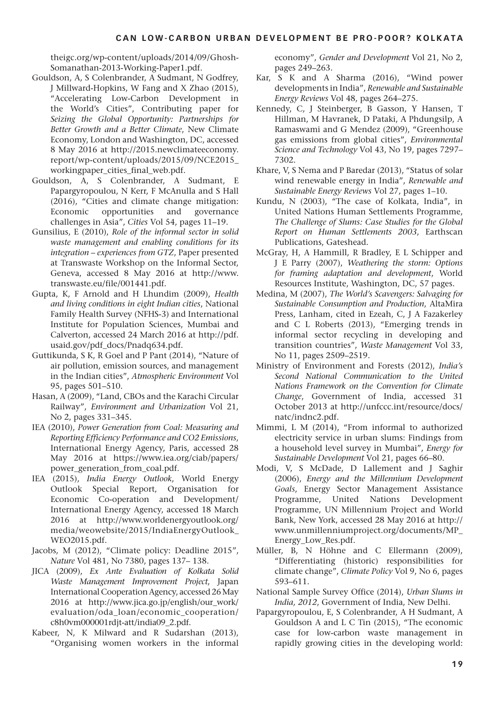theigc.org/wp-content/uploads/2014/09/Ghosh-Somanathan-2013-Working-Paper1.pdf.

- Gouldson, A, S Colenbrander, A Sudmant, N Godfrey, J Millward-Hopkins, W Fang and X Zhao (2015), "Accelerating Low-Carbon Development in the World's Cities", Contributing paper for *Seizing the Global Opportunity: Partnerships for Better Growth and a Better Climate*, New Climate Economy, London and Washington, DC, accessed 8 May 2016 at http://2015.newclimateeconomy. report/wp-content/uploads/2015/09/NCE2015\_ workingpaper\_cities\_final\_web.pdf.
- Gouldson, A, S Colenbrander, A Sudmant, E Papargyropoulou, N Kerr, F McAnulla and S Hall (2016), "Cities and climate change mitigation: Economic opportunities and governance challenges in Asia", *Cities* Vol 54, pages 11–19.
- Gunsilius, E (2010), *Role of the informal sector in solid waste management and enabling conditions for its integration – experiences from GTZ*, Paper presented at Transwaste Workshop on the Informal Sector, Geneva, accessed 8 May 2016 at http://www. transwaste.eu/file/001441.pdf.
- Gupta, K, F Arnold and H Lhundim (2009), *Health and living conditions in eight Indian cities*, National Family Health Survey (NFHS-3) and International Institute for Population Sciences, Mumbai and Calverton, accessed 24 March 2016 at http://pdf. usaid.gov/pdf\_docs/Pnadq634.pdf.
- Guttikunda, S K, R Goel and P Pant (2014), "Nature of air pollution, emission sources, and management in the Indian cities", *Atmospheric Environment* Vol 95, pages 501–510.
- Hasan, A (2009), "Land, CBOs and the Karachi Circular Railway", *Environment and Urbanization* Vol 21, No 2, pages 331–345.
- IEA (2010), *Power Generation from Coal: Measuring and Reporting Efficiency Performance and CO2 Emissions*, International Energy Agency, Paris, accessed 28 May 2016 at https://www.iea.org/ciab/papers/ power\_generation\_from\_coal.pdf.
- IEA (2015), *India Energy Outlook*, World Energy Outlook Special Report, Organisation for Economic Co-operation and Development/ International Energy Agency, accessed 18 March 2016 at http://www.worldenergyoutlook.org/ media/weowebsite/2015/IndiaEnergyOutlook\_ WEO2015.pdf.
- Jacobs, M (2012), "Climate policy: Deadline 2015", *Nature* Vol 481, No 7380, pages 137– 138.
- JICA (2009), *Ex Ante Evaluation of Kolkata Solid Waste Management Improvement Project*, Japan International Cooperation Agency, accessed 26 May 2016 at http://www.jica.go.jp/english/our\_work/ evaluation/oda\_loan/economic\_cooperation/ c8h0vm000001rdjt-att/india09\_2.pdf.
- Kabeer, N, K Milward and R Sudarshan (2013), "Organising women workers in the informal

economy", *Gender and Development* Vol 21, No 2, pages 249–263.

- Kar, S K and A Sharma (2016), "Wind power developments in India", *Renewable and Sustainable Energy Reviews* Vol 48, pages 264–275.
- Kennedy, C, J Steinberger, B Gasson, Y Hansen, T Hillman, M Havranek, D Pataki, A Phdungsilp, A Ramaswami and G Mendez (2009), "Greenhouse gas emissions from global cities", *Environmental Science and Technology* Vol 43, No 19, pages 7297– 7302.
- Khare, V, S Nema and P Baredar (2013), "Status of solar wind renewable energy in India", *Renewable and Sustainable Energy Reviews* Vol 27, pages 1–10.
- Kundu, N (2003), "The case of Kolkata, India", in United Nations Human Settlements Programme, *The Challenge of Slums: Case Studies for the Global Report on Human Settlements 2003*, Earthscan Publications, Gateshead.
- McGray, H, A Hammill, R Bradley, E L Schipper and J E Parry (2007), *Weathering the storm: Options for framing adaptation and development*, World Resources Institute, Washington, DC, 57 pages.
- Medina, M (2007), *The World's Scavengers: Salvaging for Sustainable Consumption and Production*, AltaMira Press, Lanham, cited in Ezeah, C, J A Fazakerley and C L Roberts (2013), "Emerging trends in informal sector recycling in developing and transition countries", *Waste Management* Vol 33, No 11, pages 2509–2519.
- Ministry of Environment and Forests (2012), *India's Second National Communication to the United Nations Framework on the Convention for Climate Change*, Government of India, accessed 31 October 2013 at http://unfccc.int/resource/docs/ natc/indnc2.pdf.
- Mimmi, L M (2014), "From informal to authorized electricity service in urban slums: Findings from a household level survey in Mumbai", *Energy for Sustainable Development* Vol 21, pages 66–80.
- Modi, V, S McDade, D Lallement and J Saghir (2006), *Energy and the Millennium Development Goals*, Energy Sector Management Assistance Programme, United Nations Development Programme, UN Millennium Project and World Bank, New York, accessed 28 May 2016 at http:// www.unmillenniumproject.org/documents/MP\_ Energy\_Low\_Res.pdf.
- Müller, B, N Höhne and C Ellermann (2009), "Differentiating (historic) responsibilities for climate change", *Climate Policy* Vol 9, No 6, pages 593–611.
- National Sample Survey Office (2014), *Urban Slums in India, 2012*, Government of India, New Delhi.
- Papargyropoulou, E, S Colenbrander, A H Sudmant, A Gouldson A and L C Tin (2015), "The economic case for low-carbon waste management in rapidly growing cities in the developing world: